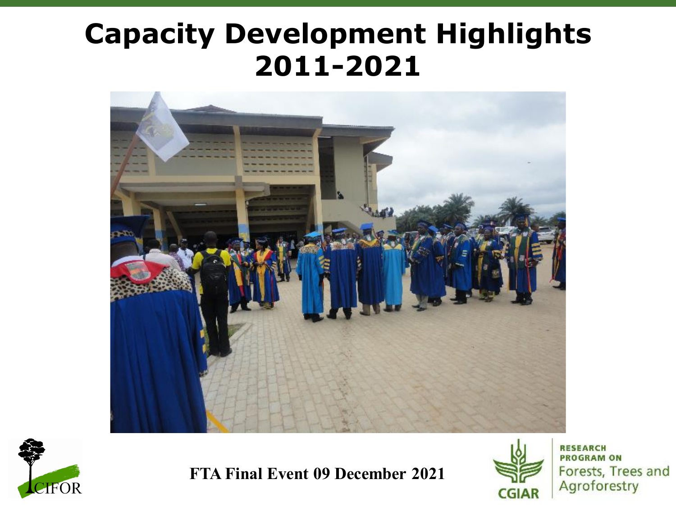### **Capacity Development Highlights 2011-2021**





**FTA Final Event 09 December 2021**



**RESEARCH PROGRAM ON** Forests, Trees and Agroforestry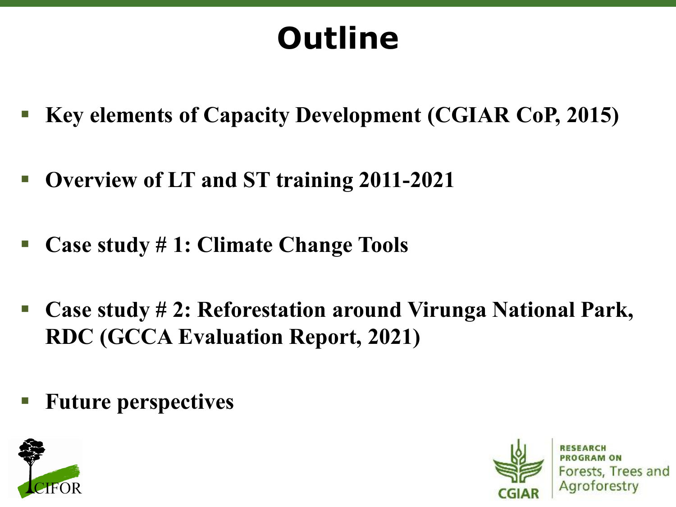# **Outline**

- **Key elements of Capacity Development (CGIAR CoP, 2015)**
- **Overview of LT and ST training 2011-2021**
- **Case study # 1: Climate Change Tools**
- **Case study # 2: Reforestation around Virunga National Park, RDC (GCCA Evaluation Report, 2021)**
- **Future perspectives**





Forests, Trees and Agroforestry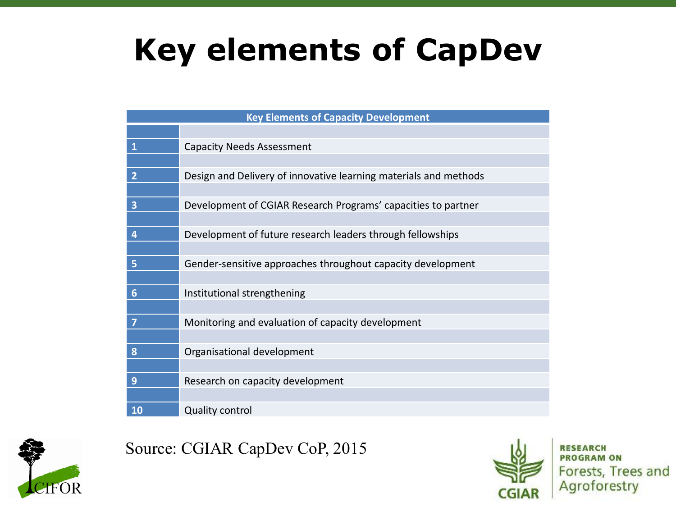### **Key elements of CapDev**

| <b>Key Elements of Capacity Development</b> |                                                                  |  |  |  |  |  |  |
|---------------------------------------------|------------------------------------------------------------------|--|--|--|--|--|--|
|                                             |                                                                  |  |  |  |  |  |  |
| $\mathbf{1}$                                | <b>Capacity Needs Assessment</b>                                 |  |  |  |  |  |  |
|                                             |                                                                  |  |  |  |  |  |  |
| $\overline{2}$                              | Design and Delivery of innovative learning materials and methods |  |  |  |  |  |  |
|                                             |                                                                  |  |  |  |  |  |  |
| $\overline{\mathbf{3}}$                     | Development of CGIAR Research Programs' capacities to partner    |  |  |  |  |  |  |
|                                             |                                                                  |  |  |  |  |  |  |
| 4                                           | Development of future research leaders through fellowships       |  |  |  |  |  |  |
|                                             |                                                                  |  |  |  |  |  |  |
| 5                                           | Gender-sensitive approaches throughout capacity development      |  |  |  |  |  |  |
|                                             |                                                                  |  |  |  |  |  |  |
| 6                                           | Institutional strengthening                                      |  |  |  |  |  |  |
|                                             |                                                                  |  |  |  |  |  |  |
| 7                                           | Monitoring and evaluation of capacity development                |  |  |  |  |  |  |
|                                             |                                                                  |  |  |  |  |  |  |
| 8                                           | Organisational development                                       |  |  |  |  |  |  |
|                                             |                                                                  |  |  |  |  |  |  |
| 9                                           | Research on capacity development                                 |  |  |  |  |  |  |
| 10                                          |                                                                  |  |  |  |  |  |  |
|                                             | <b>Quality control</b>                                           |  |  |  |  |  |  |



Source: CGIAR CapDev CoP, 2015



**RESEARCH PROGRAM ON** Forests, Trees and Agroforestry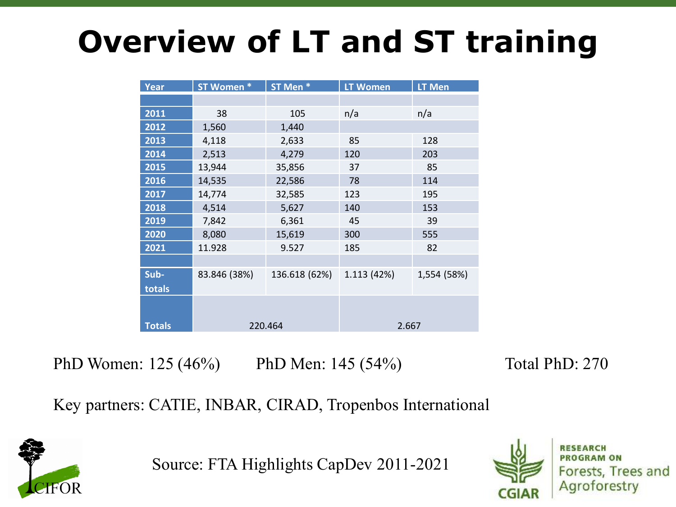## **Overview of LT and ST training**

| <b>Year</b>   | ST Women *   | ST Men *      | <b>LT Women</b> | LT Men      |  |  |
|---------------|--------------|---------------|-----------------|-------------|--|--|
|               |              |               |                 |             |  |  |
| 2011          | 38           | 105           | n/a             | n/a         |  |  |
| 2012          | 1,560        | 1,440         |                 |             |  |  |
| 2013          | 4,118        | 2,633         | 85              | 128         |  |  |
| 2014          | 2,513        | 4,279         | 120             | 203         |  |  |
| 2015          | 13,944       | 35,856        | 37              | 85          |  |  |
| 2016          | 14,535       | 22,586        | 78              | 114         |  |  |
| 2017          | 14,774       | 32,585        | 123             | 195         |  |  |
| 2018          | 4,514        | 5,627         | 140             | 153         |  |  |
| 2019          | 7,842        | 6,361         | 45              | 39          |  |  |
| 2020          | 8,080        | 15,619        | 300             | 555         |  |  |
| 2021          | 11.928       | 9.527         | 185             | 82          |  |  |
|               |              |               |                 |             |  |  |
| Sub-          | 83.846 (38%) | 136.618 (62%) | 1.113 (42%)     | 1,554 (58%) |  |  |
| totals        |              |               |                 |             |  |  |
|               |              |               |                 |             |  |  |
|               |              |               |                 |             |  |  |
| <b>Totals</b> |              | 220.464       | 2.667           |             |  |  |

PhD Women: 125 (46%) PhD Men: 145 (54%) Total PhD: 270

Key partners: CATIE, INBAR, CIRAD, Tropenbos International



Source: FTA Highlights CapDev 2011-2021

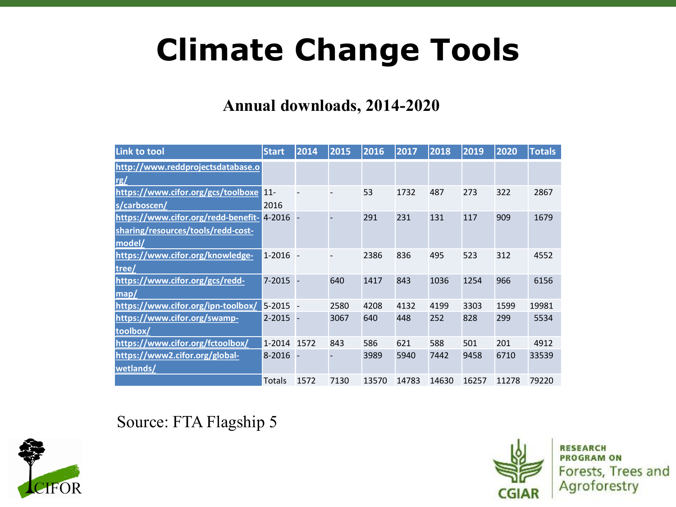### **Climate Change Tools**

#### **Annual downloads, 2014-2020**

| <b>Link to tool</b>                 | <b>Start</b> | 2014 | 2015                     | 2016  | 2017  | 2018  | 2019  | 2020  | <b>Totals</b> |
|-------------------------------------|--------------|------|--------------------------|-------|-------|-------|-------|-------|---------------|
| http://www.reddprojectsdatabase.o   |              |      |                          |       |       |       |       |       |               |
| rg/                                 |              |      |                          |       |       |       |       |       |               |
| https://www.cifor.org/gcs/toolboxe  | $11 -$       |      | $\overline{\phantom{a}}$ | 53    | 1732  | 487   | 273   | 322   | 2867          |
| s/carboscen/                        | 2016         |      |                          |       |       |       |       |       |               |
| https://www.cifor.org/redd-benefit- | $4 - 2016 -$ |      |                          | 291   | 231   | 131   | 117   | 909   | 1679          |
| sharing/resources/tools/redd-cost-  |              |      |                          |       |       |       |       |       |               |
| model/                              |              |      |                          |       |       |       |       |       |               |
| https://www.cifor.org/knowledge-    | $1-2016 -$   |      | $\overline{\phantom{a}}$ | 2386  | 836   | 495   | 523   | 312   | 4552          |
| tree/                               |              |      |                          |       |       |       |       |       |               |
| https://www.cifor.org/gcs/redd-     | $7 - 2015 -$ |      | 640                      | 1417  | 843   | 1036  | 1254  | 966   | 6156          |
| map/                                |              |      |                          |       |       |       |       |       |               |
| https://www.cifor.org/ipn-toolbox/  | $5-2015 -$   |      | 2580                     | 4208  | 4132  | 4199  | 3303  | 1599  | 19981         |
| https://www.cifor.org/swamp-        | $2 - 2015 -$ |      | 3067                     | 640   | 448   | 252   | 828   | 299   | 5534          |
| toolbox/                            |              |      |                          |       |       |       |       |       |               |
| https://www.cifor.org/fctoolbox/    | 1-2014 1572  |      | 843                      | 586   | 621   | 588   | 501   | 201   | 4912          |
| https://www2.cifor.org/global-      | $8 - 2016 -$ |      |                          | 3989  | 5940  | 7442  | 9458  | 6710  | 33539         |
| wetlands/                           |              |      |                          |       |       |       |       |       |               |
|                                     | Totals       | 1572 | 7130                     | 13570 | 14783 | 14630 | 16257 | 11278 | 79220         |

Source: FTA Flagship 5





**RESEARCH PROGRAM ON** Forests, Trees and Agroforestry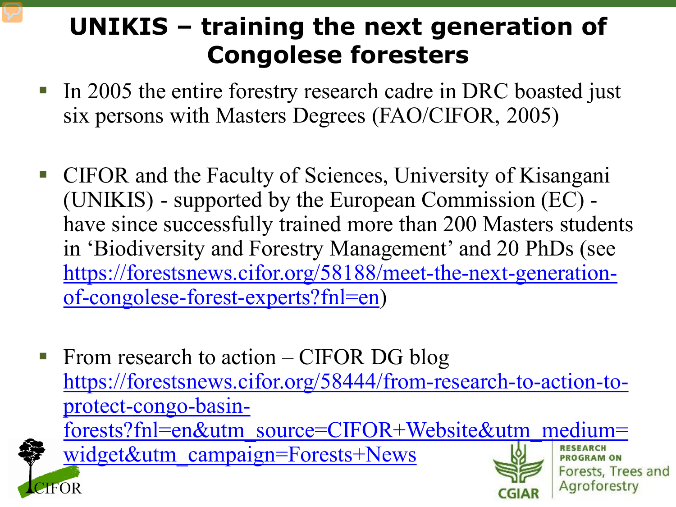### **UNIKIS – training the next generation of Congolese foresters**

- In 2005 the entire forestry research cadre in DRC boasted just six persons with Masters Degrees (FAO/CIFOR, 2005)
- CIFOR and the Faculty of Sciences, University of Kisangani (UNIKIS) - supported by the European Commission (EC) have since successfully trained more than 200 Masters students in 'Biodiversity and Forestry Management' and 20 PhDs (see [https://forestsnews.cifor.org/58188/meet-the-next-generation](https://forestsnews.cifor.org/58188/meet-the-next-generation-of-congolese-forest-experts?fnl=en)of-congolese-forest-experts?fnl=en)
- From research to action CIFOR DG blog https://forestsnews.cifor.org/58444/from-research-to-action-toprotect-congo-basin[forests?fnl=en&utm\\_source=CIFOR+Website&utm\\_medium=](https://forestsnews.cifor.org/58444/from-research-to-action-to-protect-congo-basin-forests?fnl=en&utm_source=CIFOR+Website&utm_medium=widget&utm_campaign=Forests+News) widget&utm\_campaign=Forests+News**RESEARCH PROGRAM ON** Forests, Trees and Agroforestry **IFOR**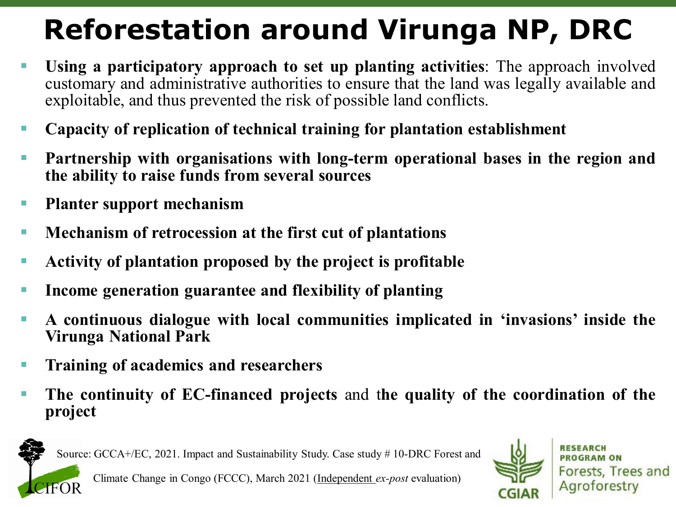### **Reforestation around Virunga NP, DRC**

- **Using a participatory approach to set up planting activities**: The approach involved customary and administrative authorities to ensure that the land was legally available and exploitable, and thus prevented the risk of possible land conflicts.
- **Capacity of replication of technical training for plantation establishment**
- **Partnership with organisations with long-term operational bases in the region and the ability to raise funds from several sources**
- **Planter support mechanism**
- **Mechanism of retrocession at the first cut of plantations**
- **Activity of plantation proposed by the project is profitable**
- **Income generation guarantee and flexibility of planting**
- **A continuous dialogue with local communities implicated in 'invasions' inside the Virunga National Park**
- **Training of academics and researchers**
- **The continuity of EC-financed projects** and t**he quality of the coordination of the project**



Source: GCCA+/EC, 2021. Impact and Sustainability Study. Case study # 10-DRC Forest and



**PROGRAM ON** Forests, Trees and Agroforestry

Climate Change in Congo (FCCC), March 2021 (Independent *ex-post* evaluation)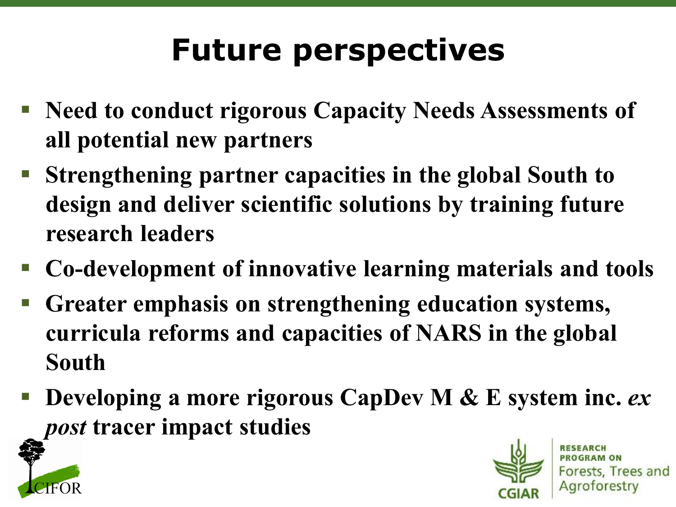# **Future perspectives**

- **Need to conduct rigorous Capacity Needs Assessments of all potential new partners**
- **Strengthening partner capacities in the global South to design and deliver scientific solutions by training future research leaders**
- **Co-development of innovative learning materials and tools**
- **Greater emphasis on strengthening education systems, curricula reforms and capacities of NARS in the global South**
- **Developing a more rigorous CapDev M & E system inc.** *ex post* **tracer impact studies**





Forests, Trees and Agroforestry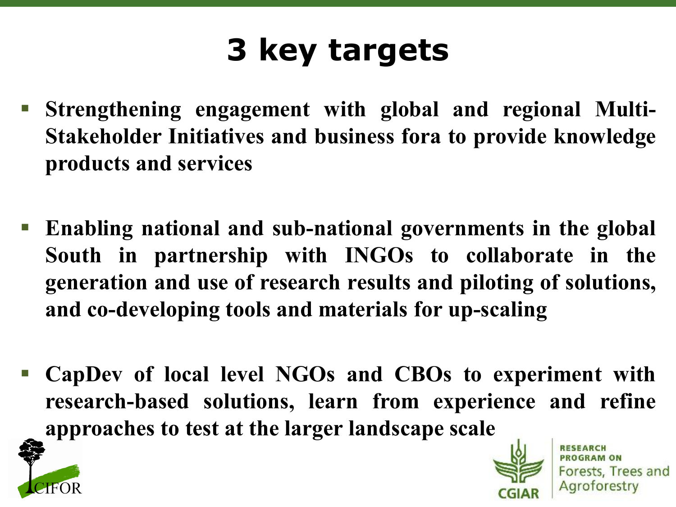## **3 key targets**

- **Strengthening engagement with global and regional Multi-Stakeholder Initiatives and business fora to provide knowledge products and services**
- **Enabling national and sub-national governments in the global South in partnership with INGOs to collaborate in the generation and use of research results and piloting of solutions, and co-developing tools and materials for up-scaling**
- **CapDev of local level NGOs and CBOs to experiment with research-based solutions, learn from experience and refine approaches to test at the larger landscape scale**





Forests, Trees and Agroforestry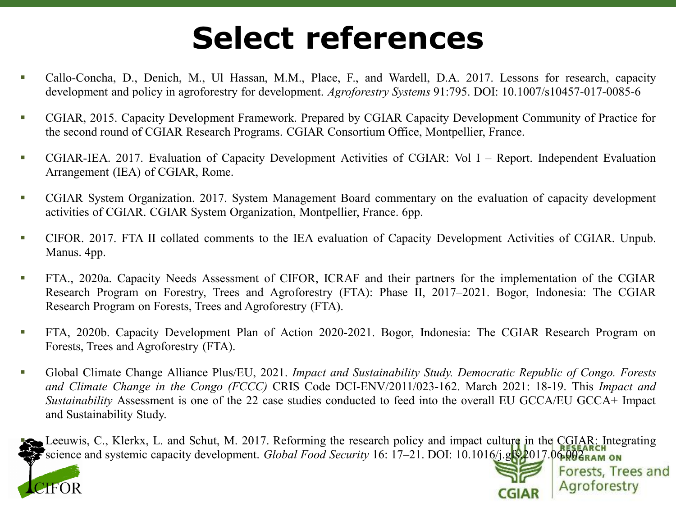### **Select references**

- Callo-Concha, D., Denich, M., Ul Hassan, M.M., Place, F., and Wardell, D.A. 2017. Lessons for research, capacity development and policy in agroforestry for development. *Agroforestry Systems* 91:795. DOI: 10.1007/s10457-017-0085-6
- **CGIAR, 2015. Capacity Development Framework. Prepared by CGIAR Capacity Development Community of Practice for** the second round of CGIAR Research Programs. CGIAR Consortium Office, Montpellier, France.
- CGIAR-IEA. 2017. Evaluation of Capacity Development Activities of CGIAR: Vol I Report. Independent Evaluation Arrangement (IEA) of CGIAR, Rome.
- CGIAR System Organization. 2017. System Management Board commentary on the evaluation of capacity development activities of CGIAR. CGIAR System Organization, Montpellier, France. 6pp.
- CIFOR. 2017. FTA II collated comments to the IEA evaluation of Capacity Development Activities of CGIAR. Unpub. Manus. 4pp.
- **FTA., 2020a. Capacity Needs Assessment of CIFOR, ICRAF and their partners for the implementation of the CGIAR** Research Program on Forestry, Trees and Agroforestry (FTA): Phase II, 2017–2021. Bogor, Indonesia: The CGIAR Research Program on Forests, Trees and Agroforestry (FTA).
- FTA, 2020b. Capacity Development Plan of Action 2020-2021. Bogor, Indonesia: The CGIAR Research Program on Forests, Trees and Agroforestry (FTA).
- Global Climate Change Alliance Plus/EU, 2021. *Impact and Sustainability Study. Democratic Republic of Congo. Forests and Climate Change in the Congo (FCCC)* CRIS Code DCI-ENV/2011/023-162. March 2021: 18-19. This *Impact and Sustainability* Assessment is one of the 22 case studies conducted to feed into the overall EU GCCA/EU GCCA+ Impact and Sustainability Study.